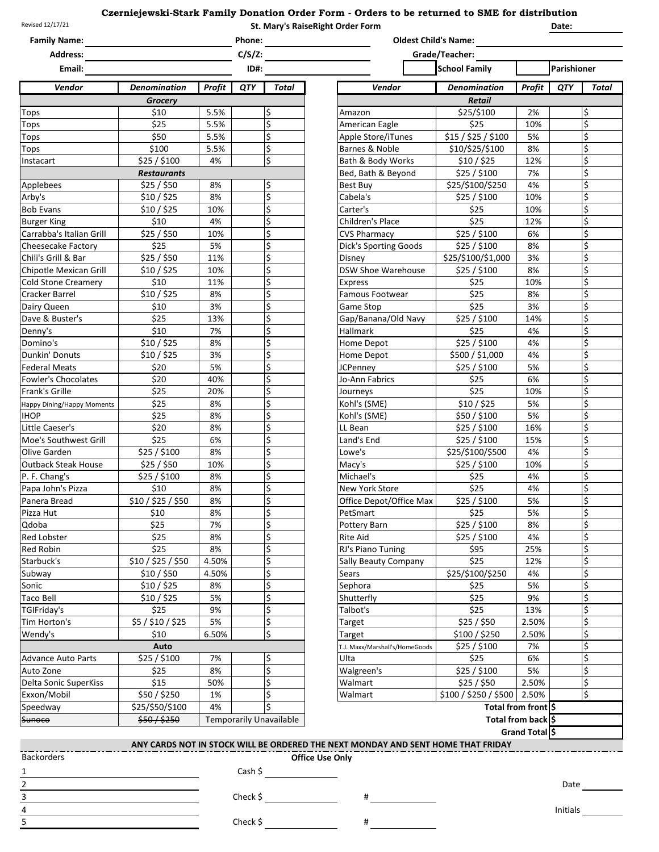## **St. Mary's RaiseRight Order Form Czerniejewski-Stark Family Donation Order Form - Orders to be returned to SME for distribution**

| Revised 12/17/21           |                     |               |                             | St. Mary's RaiseRight Order Form<br>Date: |                                                                                  |                       |                    |             |       |
|----------------------------|---------------------|---------------|-----------------------------|-------------------------------------------|----------------------------------------------------------------------------------|-----------------------|--------------------|-------------|-------|
| <b>Family Name:</b>        |                     |               | Phone:                      |                                           | <b>Oldest Child's Name:</b>                                                      |                       |                    |             |       |
| <b>Address:</b><br>Email:  |                     |               | $C/S/Z$ :<br>Grade/Teacher: |                                           |                                                                                  |                       |                    |             |       |
|                            |                     |               | ID#:                        |                                           |                                                                                  | <b>School Family</b>  |                    | Parishioner |       |
| Vendor                     | <b>Denomination</b> | <b>Profit</b> | QTY                         | Total                                     | Vendor                                                                           | <b>Denomination</b>   | Profit             | QTY         | Total |
|                            | <b>Grocery</b>      |               |                             |                                           |                                                                                  | <b>Retail</b>         |                    |             |       |
| Tops                       | \$10                | 5.5%          |                             | ¦\$                                       | Amazon                                                                           | \$25/\$100            | 2%                 |             | \$    |
| <b>Tops</b>                | \$25                | 5.5%          |                             | \$                                        | American Eagle                                                                   | \$25                  | 10%                |             | \$    |
| Tops                       | \$50                | 5.5%          |                             | \$                                        | Apple Store/iTunes                                                               | \$15 / \$25 / \$100   | 5%                 |             | \$    |
| Tops                       | \$100               | 5.5%          |                             | \$                                        | Barnes & Noble                                                                   | \$10/\$25/\$100       | 8%                 |             | \$    |
| Instacart                  | \$25 / \$100        | 4%            |                             | \$                                        | Bath & Body Works                                                                | \$10/\$25             | 12%                |             | \$    |
|                            | <b>Restaurants</b>  |               |                             |                                           | Bed, Bath & Beyond                                                               | \$25/\$100            | 7%                 |             | \$    |
| Applebees                  | \$25/\$50           | 8%            |                             | \$                                        | Best Buy                                                                         | \$25/\$100/\$250      | 4%                 |             | \$    |
| Arby's                     | \$10/\$25           | 8%            |                             | \$                                        | Cabela's                                                                         | \$25 / \$100          | 10%                |             | \$    |
| <b>Bob Evans</b>           | \$10/\$25           | 10%           |                             | \$                                        | Carter's                                                                         | \$25                  | 10%                |             | \$    |
| <b>Burger King</b>         | \$10                | 4%            |                             | \$                                        | Children's Place                                                                 | \$25                  | 12%                |             | \$    |
| Carrabba's Italian Grill   | \$25/\$50           | 10%           |                             | \$                                        | <b>CVS Pharmacy</b>                                                              | \$25 / \$100          | 6%                 |             | \$    |
| Cheesecake Factory         | \$25                | 5%            |                             | \$                                        | <b>Dick's Sporting Goods</b>                                                     | \$25 / \$100          | 8%                 |             | \$    |
| Chili's Grill & Bar        | \$25/\$50           | 11%           |                             | $\overline{\mathsf{S}}$                   | Disney                                                                           | \$25/\$100/\$1,000    | 3%                 |             | \$    |
| Chipotle Mexican Grill     | \$10/ \$25          | 10%           |                             | $\ddot{\mathsf{s}}$                       | <b>DSW Shoe Warehouse</b>                                                        | \$25/\$100            | 8%                 |             | \$    |
| <b>Cold Stone Creamery</b> | \$10                | 11%           |                             | \$                                        | <b>Express</b>                                                                   | \$25                  | 10%                |             | \$    |
| Cracker Barrel             | \$10/\$25           | 8%            |                             | \$                                        | Famous Footwear                                                                  | \$25                  | 8%                 |             | \$    |
| Dairy Queen                | \$10                | 3%            |                             | \$                                        | Game Stop                                                                        | \$25                  | 3%                 |             | \$    |
| Dave & Buster's            | \$25                | 13%           |                             | \$                                        | Gap/Banana/Old Navy                                                              | \$25 / \$100          | 14%                |             | \$    |
| Denny's                    | \$10                | 7%            |                             | \$                                        | <b>Hallmark</b>                                                                  | \$25                  | 4%                 |             | \$    |
| Domino's                   | \$10/\$25           | 8%            |                             | \$                                        | Home Depot                                                                       | \$25 / \$100          | 4%                 |             | \$    |
| Dunkin' Donuts             | \$10/\$25           | 3%            |                             | \$                                        | <b>Home Depot</b>                                                                | \$500 / \$1,000       | 4%                 |             | \$    |
| <b>Federal Meats</b>       | \$20                | 5%            |                             | \$                                        | <b>JCPenney</b>                                                                  | \$25 / \$100          | 5%                 |             | \$    |
| <b>Fowler's Chocolates</b> | \$20                | 40%           |                             | \$                                        | Jo-Ann Fabrics                                                                   | \$25                  | 6%                 |             | \$    |
| Frank's Grille             | \$25                | 20%           |                             | \$                                        | Journeys                                                                         | \$25                  | 10%                |             | \$    |
| Happy Dining/Happy Moments | \$25                | 8%            |                             | \$                                        | Kohl's (SME)                                                                     | \$10 / \$25           | 5%                 |             | \$    |
| <b>IHOP</b>                | \$25                | 8%            |                             | \$                                        | Kohl's (SME)                                                                     | \$50 / \$100          | 5%                 |             | \$    |
| Little Caeser's            | \$20                | 8%            |                             | \$                                        | LL Bean                                                                          | \$25 / \$100          | 16%                |             | \$    |
| Moe's Southwest Grill      | \$25                | 6%            |                             | \$                                        | Land's End                                                                       | \$25 / \$100          | 15%                |             | \$    |
| Olive Garden               | \$25 / \$100        | 8%            |                             | \$                                        | Lowe's                                                                           | \$25/\$100/\$500      | 4%                 |             | \$    |
| <b>Outback Steak House</b> | \$25/\$50           | 10%           |                             | \$                                        | Macy's                                                                           | \$25 / \$100          | 10%                |             | \$    |
| P. F. Chang's              | \$25/\$100          | 8%            |                             | \$                                        | Michael's                                                                        | \$25                  | 4%                 |             | \$    |
| Papa John's Pizza          | \$10                | 8%            |                             | \$                                        | New York Store                                                                   | \$25                  | 4%                 |             | \$    |
| Panera Bread               | \$10/\$25/\$50      | 8%            |                             | \$                                        | Office Depot/Office Max                                                          | \$25 / \$100          | 5%                 |             | \$    |
| Pizza Hut                  | \$10                | 8%            |                             | \$                                        | PetSmart                                                                         | \$25                  | 5%                 |             | \$    |
| Qdoba                      | \$25                | 7%            |                             | \$                                        | Pottery Barn                                                                     | \$25 / \$100          | 8%                 |             | \$    |
| Red Lobster                | \$25                | 8%            |                             | \$                                        | <b>Rite Aid</b>                                                                  | \$25 / \$100          | 4%                 |             | \$    |
| <b>Red Robin</b>           | \$25                | 8%            |                             | \$                                        | RJ's Piano Tuning                                                                | \$95                  | 25%                |             | \$    |
| Starbuck's                 | \$10 / \$25 / \$50  | 4.50%         |                             | \$                                        | <b>Sally Beauty Company</b>                                                      | \$25                  | 12%                |             | \$    |
| Subway                     | $$10/$ \$50         | 4.50%         |                             | \$                                        | <b>Sears</b>                                                                     | \$25/\$100/\$250      | 4%                 |             | \$    |
| Sonic                      | \$10/\$25           | 8%            |                             | \$                                        | Sephora                                                                          | \$25                  | 5%                 |             | \$    |
| <b>Taco Bell</b>           | \$10/\$25           | 5%            |                             | \$                                        | Shutterfly                                                                       | \$25                  | 9%                 |             | \$    |
| TGIFriday's                | \$25                | 9%            |                             | \$                                        | Talbot's                                                                         | \$25                  | 13%                |             | \$    |
| Tim Horton's               | \$5/\$10/\$25       | 5%            |                             | \$                                        | Target                                                                           | \$25 / \$50           | 2.50%              |             | \$    |
| Wendy's                    | \$10                | 6.50%         |                             | \$                                        | Target                                                                           | \$100 / \$250         | 2.50%              |             | \$    |
|                            | Auto                |               |                             |                                           | T.J. Maxx/Marshall's/HomeGoods                                                   | \$25 / \$100          | 7%                 |             | \$    |
| <b>Advance Auto Parts</b>  | \$25 / \$100        | 7%            |                             | \$                                        | Ulta                                                                             | \$25                  | 6%                 |             | \$    |
| Auto Zone                  | \$25                | 8%            |                             | \$                                        | Walgreen's                                                                       | \$25 / \$100          | 5%                 |             | \$    |
| Delta Sonic SuperKiss      | \$15                | 50%           |                             | \$                                        | Walmart                                                                          | \$25 / \$50           | 2.50%              |             | \$    |
| Exxon/Mobil                | \$50 / \$250        | 1%            |                             | \$                                        | Walmart                                                                          | \$100 / \$250 / \$500 | 2.50%              |             | \$    |
| Speedway                   | \$25/\$50/\$100     | 4%            |                             | \$                                        |                                                                                  |                       | Total from front S |             |       |
| Sunoco                     | \$50/\$250          |               |                             | <b>Temporarily Unavailable</b>            |                                                                                  |                       | Total from back \$ |             |       |
|                            |                     |               |                             |                                           |                                                                                  |                       | Grand Total \$     |             |       |
|                            |                     |               |                             |                                           | ANY CARDS NOT IN STOCK WILL BE ORDERED THE NEXT MONDAY AND SENT HOME THAT FRIDAY |                       |                    |             |       |
| <b>Backorders</b>          |                     |               |                             |                                           | <b>Office Use Only</b>                                                           |                       |                    |             |       |
|                            |                     |               |                             | Cash \$                                   |                                                                                  |                       |                    |             |       |
| 1                          |                     |               |                             |                                           |                                                                                  |                       |                    |             |       |
| $\overline{2}$             |                     |               |                             |                                           |                                                                                  |                       |                    | Date        |       |

Check \$

4 5

3

Check \$  $\qquad \qquad \qquad #$  4

Initials